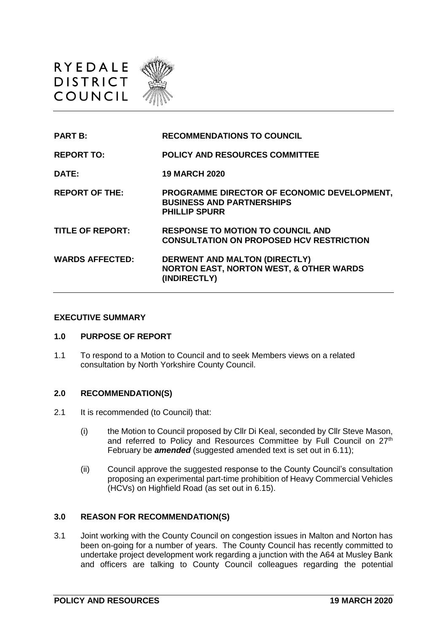



#### **EXECUTIVE SUMMARY**

#### **1.0 PURPOSE OF REPORT**

1.1 To respond to a Motion to Council and to seek Members views on a related consultation by North Yorkshire County Council.

#### **2.0 RECOMMENDATION(S)**

- 2.1 It is recommended (to Council) that:
	- (i) the Motion to Council proposed by Cllr Di Keal, seconded by Cllr Steve Mason, and referred to Policy and Resources Committee by Full Council on 27<sup>th</sup> February be *amended* (suggested amended text is set out in 6.11);
	- (ii) Council approve the suggested response to the County Council's consultation proposing an experimental part-time prohibition of Heavy Commercial Vehicles (HCVs) on Highfield Road (as set out in 6.15).

### **3.0 REASON FOR RECOMMENDATION(S)**

3.1 Joint working with the County Council on congestion issues in Malton and Norton has been on-going for a number of years. The County Council has recently committed to undertake project development work regarding a junction with the A64 at Musley Bank and officers are talking to County Council colleagues regarding the potential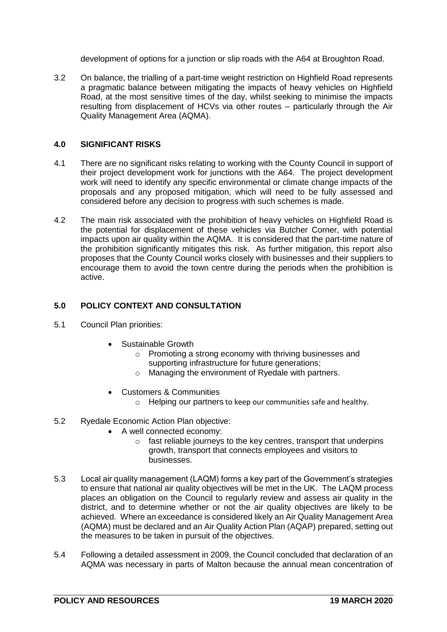development of options for a junction or slip roads with the A64 at Broughton Road.

3.2 On balance, the trialling of a part-time weight restriction on Highfield Road represents a pragmatic balance between mitigating the impacts of heavy vehicles on Highfield Road, at the most sensitive times of the day, whilst seeking to minimise the impacts resulting from displacement of HCVs via other routes – particularly through the Air Quality Management Area (AQMA).

## **4.0 SIGNIFICANT RISKS**

- 4.1 There are no significant risks relating to working with the County Council in support of their project development work for junctions with the A64. The project development work will need to identify any specific environmental or climate change impacts of the proposals and any proposed mitigation, which will need to be fully assessed and considered before any decision to progress with such schemes is made.
- 4.2 The main risk associated with the prohibition of heavy vehicles on Highfield Road is the potential for displacement of these vehicles via Butcher Corner, with potential impacts upon air quality within the AQMA. It is considered that the part-time nature of the prohibition significantly mitigates this risk. As further mitigation, this report also proposes that the County Council works closely with businesses and their suppliers to encourage them to avoid the town centre during the periods when the prohibition is active.

## **5.0 POLICY CONTEXT AND CONSULTATION**

- 5.1 Council Plan priorities:
	- Sustainable Growth
		- o Promoting a strong economy with thriving businesses and supporting infrastructure for future generations;
		- o Managing the environment of Ryedale with partners.
	- Customers & Communities
		- o Helping our partners to keep our communities safe and healthy.
- 5.2 Ryedale Economic Action Plan objective:
	- A well connected economy:
		- $\circ$  fast reliable journeys to the key centres, transport that underpins growth, transport that connects employees and visitors to businesses.
- 5.3 Local air quality management (LAQM) forms a key part of the Government's strategies to ensure that national air quality objectives will be met in the UK. The LAQM process places an obligation on the Council to regularly review and assess air quality in the district, and to determine whether or not the air quality objectives are likely to be achieved. Where an exceedance is considered likely an Air Quality Management Area (AQMA) must be declared and an Air Quality Action Plan (AQAP) prepared, setting out the measures to be taken in pursuit of the objectives.
- 5.4 Following a detailed assessment in 2009, the Council concluded that declaration of an AQMA was necessary in parts of Malton because the annual mean concentration of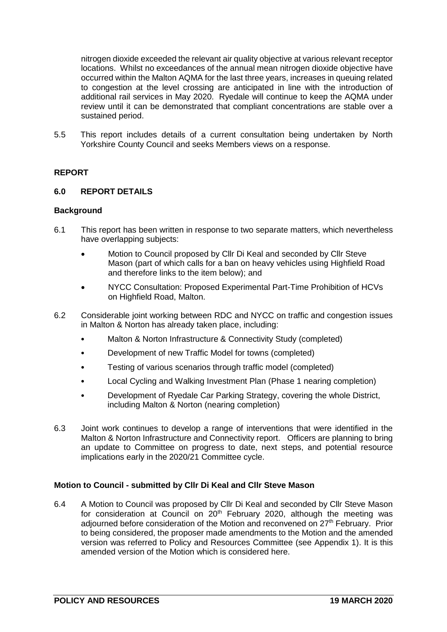nitrogen dioxide exceeded the relevant air quality objective at various relevant receptor locations. Whilst no exceedances of the annual mean nitrogen dioxide objective have occurred within the Malton AQMA for the last three years, increases in queuing related to congestion at the level crossing are anticipated in line with the introduction of additional rail services in May 2020. Ryedale will continue to keep the AQMA under review until it can be demonstrated that compliant concentrations are stable over a sustained period.

5.5 This report includes details of a current consultation being undertaken by North Yorkshire County Council and seeks Members views on a response.

## **REPORT**

### **6.0 REPORT DETAILS**

#### **Background**

- 6.1 This report has been written in response to two separate matters, which nevertheless have overlapping subjects:
	- Motion to Council proposed by Cllr Di Keal and seconded by Cllr Steve Mason (part of which calls for a ban on heavy vehicles using Highfield Road and therefore links to the item below); and
	- NYCC Consultation: Proposed Experimental Part-Time Prohibition of HCVs on Highfield Road, Malton.
- 6.2 Considerable joint working between RDC and NYCC on traffic and congestion issues in Malton & Norton has already taken place, including:
	- Malton & Norton Infrastructure & Connectivity Study (completed)
	- Development of new Traffic Model for towns (completed)
	- Testing of various scenarios through traffic model (completed)
	- Local Cycling and Walking Investment Plan (Phase 1 nearing completion)
	- Development of Ryedale Car Parking Strategy, covering the whole District, including Malton & Norton (nearing completion)
- 6.3 Joint work continues to develop a range of interventions that were identified in the Malton & Norton Infrastructure and Connectivity report. Officers are planning to bring an update to Committee on progress to date, next steps, and potential resource implications early in the 2020/21 Committee cycle.

### **Motion to Council - submitted by Cllr Di Keal and Cllr Steve Mason**

6.4 A Motion to Council was proposed by Cllr Di Keal and seconded by Cllr Steve Mason for consideration at Council on  $20<sup>th</sup>$  February 2020, although the meeting was adjourned before consideration of the Motion and reconvened on 27<sup>th</sup> February. Prior to being considered, the proposer made amendments to the Motion and the amended version was referred to Policy and Resources Committee (see Appendix 1). It is this amended version of the Motion which is considered here.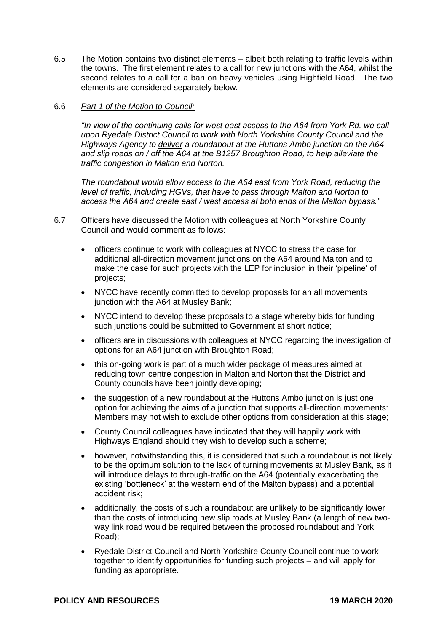6.5 The Motion contains two distinct elements – albeit both relating to traffic levels within the towns. The first element relates to a call for new junctions with the A64, whilst the second relates to a call for a ban on heavy vehicles using Highfield Road. The two elements are considered separately below.

### 6.6 *Part 1 of the Motion to Council:*

*"In view of the continuing calls for west east access to the A64 from York Rd, we call upon Ryedale District Council to work with North Yorkshire County Council and the Highways Agency to deliver a roundabout at the Huttons Ambo junction on the A64 and slip roads on / off the A64 at the B1257 Broughton Road, to help alleviate the traffic congestion in Malton and Norton.*

*The roundabout would allow access to the A64 east from York Road, reducing the level of traffic, including HGVs, that have to pass through Malton and Norton to access the A64 and create east / west access at both ends of the Malton bypass."*

- 6.7 Officers have discussed the Motion with colleagues at North Yorkshire County Council and would comment as follows:
	- officers continue to work with colleagues at NYCC to stress the case for additional all-direction movement junctions on the A64 around Malton and to make the case for such projects with the LEP for inclusion in their 'pipeline' of projects;
	- NYCC have recently committed to develop proposals for an all movements junction with the A64 at Musley Bank;
	- NYCC intend to develop these proposals to a stage whereby bids for funding such junctions could be submitted to Government at short notice;
	- officers are in discussions with colleagues at NYCC regarding the investigation of options for an A64 junction with Broughton Road;
	- this on-going work is part of a much wider package of measures aimed at reducing town centre congestion in Malton and Norton that the District and County councils have been jointly developing;
	- the suggestion of a new roundabout at the Huttons Ambo junction is just one option for achieving the aims of a junction that supports all-direction movements: Members may not wish to exclude other options from consideration at this stage;
	- County Council colleagues have indicated that they will happily work with Highways England should they wish to develop such a scheme;
	- however, notwithstanding this, it is considered that such a roundabout is not likely to be the optimum solution to the lack of turning movements at Musley Bank, as it will introduce delays to through-traffic on the A64 (potentially exacerbating the existing 'bottleneck' at the western end of the Malton bypass) and a potential accident risk;
	- additionally, the costs of such a roundabout are unlikely to be significantly lower than the costs of introducing new slip roads at Musley Bank (a length of new twoway link road would be required between the proposed roundabout and York Road);
	- Ryedale District Council and North Yorkshire County Council continue to work together to identify opportunities for funding such projects – and will apply for funding as appropriate.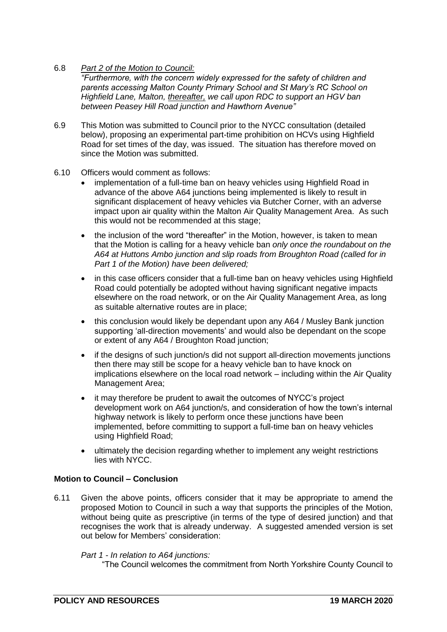# 6.8 *Part 2 of the Motion to Council:*

*"Furthermore, with the concern widely expressed for the safety of children and parents accessing Malton County Primary School and St Mary's RC School on Highfield Lane, Malton, thereafter, we call upon RDC to support an HGV ban between Peasey Hill Road junction and Hawthorn Avenue"*

- 6.9 This Motion was submitted to Council prior to the NYCC consultation (detailed below), proposing an experimental part-time prohibition on HCVs using Highfield Road for set times of the day, was issued. The situation has therefore moved on since the Motion was submitted.
- 6.10 Officers would comment as follows:
	- implementation of a full-time ban on heavy vehicles using Highfield Road in advance of the above A64 junctions being implemented is likely to result in significant displacement of heavy vehicles via Butcher Corner, with an adverse impact upon air quality within the Malton Air Quality Management Area. As such this would not be recommended at this stage;
	- the inclusion of the word "thereafter" in the Motion, however, is taken to mean that the Motion is calling for a heavy vehicle ban *only once the roundabout on the A64 at Huttons Ambo junction and slip roads from Broughton Road (called for in Part 1 of the Motion) have been delivered;*
	- in this case officers consider that a full-time ban on heavy vehicles using Highfield Road could potentially be adopted without having significant negative impacts elsewhere on the road network, or on the Air Quality Management Area, as long as suitable alternative routes are in place;
	- this conclusion would likely be dependant upon any A64 / Musley Bank junction supporting 'all-direction movements' and would also be dependant on the scope or extent of any A64 / Broughton Road junction;
	- if the designs of such junction/s did not support all-direction movements junctions then there may still be scope for a heavy vehicle ban to have knock on implications elsewhere on the local road network – including within the Air Quality Management Area;
	- it may therefore be prudent to await the outcomes of NYCC's project development work on A64 junction/s, and consideration of how the town's internal highway network is likely to perform once these junctions have been implemented, before committing to support a full-time ban on heavy vehicles using Highfield Road;
	- ultimately the decision regarding whether to implement any weight restrictions lies with NYCC.

### **Motion to Council – Conclusion**

6.11 Given the above points, officers consider that it may be appropriate to amend the proposed Motion to Council in such a way that supports the principles of the Motion, without being quite as prescriptive (in terms of the type of desired junction) and that recognises the work that is already underway. A suggested amended version is set out below for Members' consideration:

### *Part 1 - In relation to A64 junctions:*

"The Council welcomes the commitment from North Yorkshire County Council to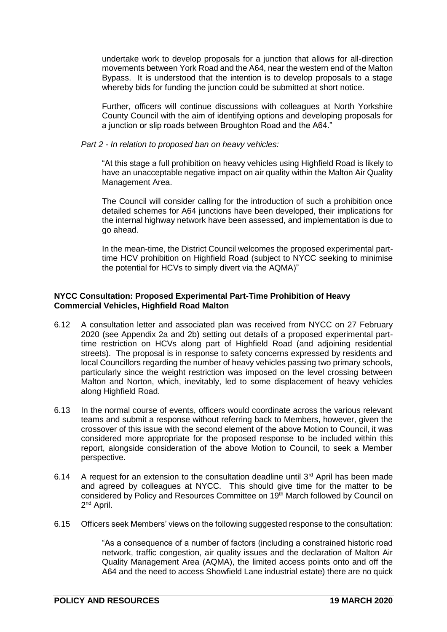undertake work to develop proposals for a junction that allows for all-direction movements between York Road and the A64, near the western end of the Malton Bypass. It is understood that the intention is to develop proposals to a stage whereby bids for funding the junction could be submitted at short notice.

Further, officers will continue discussions with colleagues at North Yorkshire County Council with the aim of identifying options and developing proposals for a junction or slip roads between Broughton Road and the A64."

*Part 2 - In relation to proposed ban on heavy vehicles:*

"At this stage a full prohibition on heavy vehicles using Highfield Road is likely to have an unacceptable negative impact on air quality within the Malton Air Quality Management Area.

The Council will consider calling for the introduction of such a prohibition once detailed schemes for A64 junctions have been developed, their implications for the internal highway network have been assessed, and implementation is due to go ahead.

In the mean-time, the District Council welcomes the proposed experimental parttime HCV prohibition on Highfield Road (subject to NYCC seeking to minimise the potential for HCVs to simply divert via the AQMA)"

## **NYCC Consultation: Proposed Experimental Part-Time Prohibition of Heavy Commercial Vehicles, Highfield Road Malton**

- 6.12 A consultation letter and associated plan was received from NYCC on 27 February 2020 (see Appendix 2a and 2b) setting out details of a proposed experimental parttime restriction on HCVs along part of Highfield Road (and adjoining residential streets). The proposal is in response to safety concerns expressed by residents and local Councillors regarding the number of heavy vehicles passing two primary schools, particularly since the weight restriction was imposed on the level crossing between Malton and Norton, which, inevitably, led to some displacement of heavy vehicles along Highfield Road.
- 6.13 In the normal course of events, officers would coordinate across the various relevant teams and submit a response without referring back to Members, however, given the crossover of this issue with the second element of the above Motion to Council, it was considered more appropriate for the proposed response to be included within this report, alongside consideration of the above Motion to Council, to seek a Member perspective.
- 6.14 A request for an extension to the consultation deadline until  $3<sup>rd</sup>$  April has been made and agreed by colleagues at NYCC. This should give time for the matter to be considered by Policy and Resources Committee on 19<sup>th</sup> March followed by Council on 2<sup>nd</sup> April.
- 6.15 Officers seek Members' views on the following suggested response to the consultation:

"As a consequence of a number of factors (including a constrained historic road network, traffic congestion, air quality issues and the declaration of Malton Air Quality Management Area (AQMA), the limited access points onto and off the A64 and the need to access Showfield Lane industrial estate) there are no quick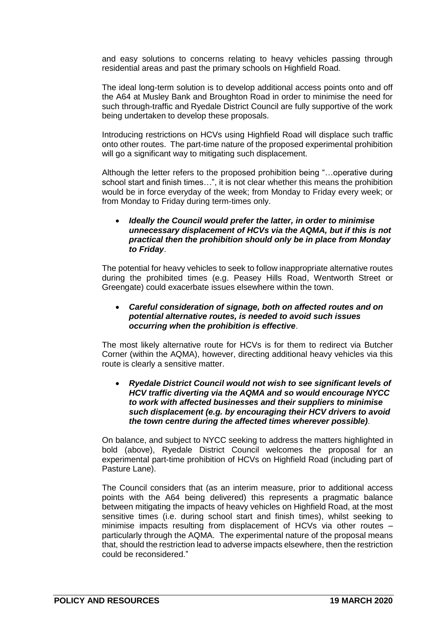and easy solutions to concerns relating to heavy vehicles passing through residential areas and past the primary schools on Highfield Road.

The ideal long-term solution is to develop additional access points onto and off the A64 at Musley Bank and Broughton Road in order to minimise the need for such through-traffic and Ryedale District Council are fully supportive of the work being undertaken to develop these proposals.

Introducing restrictions on HCVs using Highfield Road will displace such traffic onto other routes. The part-time nature of the proposed experimental prohibition will go a significant way to mitigating such displacement.

Although the letter refers to the proposed prohibition being "…operative during school start and finish times…", it is not clear whether this means the prohibition would be in force everyday of the week; from Monday to Friday every week; or from Monday to Friday during term-times only.

### *Ideally the Council would prefer the latter, in order to minimise unnecessary displacement of HCVs via the AQMA, but if this is not practical then the prohibition should only be in place from Monday to Friday*.

The potential for heavy vehicles to seek to follow inappropriate alternative routes during the prohibited times (e.g. Peasey Hills Road, Wentworth Street or Greengate) could exacerbate issues elsewhere within the town.

#### *Careful consideration of signage, both on affected routes and on potential alternative routes, is needed to avoid such issues occurring when the prohibition is effective*.

The most likely alternative route for HCVs is for them to redirect via Butcher Corner (within the AQMA), however, directing additional heavy vehicles via this route is clearly a sensitive matter.

#### *Ryedale District Council would not wish to see significant levels of HCV traffic diverting via the AQMA and so would encourage NYCC to work with affected businesses and their suppliers to minimise such displacement (e.g. by encouraging their HCV drivers to avoid the town centre during the affected times wherever possible)*.

On balance, and subject to NYCC seeking to address the matters highlighted in bold (above), Ryedale District Council welcomes the proposal for an experimental part-time prohibition of HCVs on Highfield Road (including part of Pasture Lane).

The Council considers that (as an interim measure, prior to additional access points with the A64 being delivered) this represents a pragmatic balance between mitigating the impacts of heavy vehicles on Highfield Road, at the most sensitive times (i.e. during school start and finish times), whilst seeking to minimise impacts resulting from displacement of HCVs via other routes – particularly through the AQMA. The experimental nature of the proposal means that, should the restriction lead to adverse impacts elsewhere, then the restriction could be reconsidered."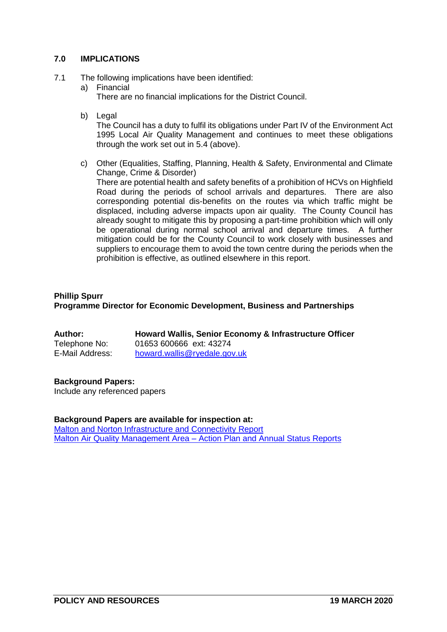## **7.0 IMPLICATIONS**

- 7.1 The following implications have been identified:
	- a) Financial
		- There are no financial implications for the District Council.
	- b) Legal

The Council has a duty to fulfil its obligations under Part IV of the Environment Act 1995 Local Air Quality Management and continues to meet these obligations through the work set out in 5.4 (above).

c) Other (Equalities, Staffing, Planning, Health & Safety, Environmental and Climate Change, Crime & Disorder)

There are potential health and safety benefits of a prohibition of HCVs on Highfield Road during the periods of school arrivals and departures. There are also corresponding potential dis-benefits on the routes via which traffic might be displaced, including adverse impacts upon air quality. The County Council has already sought to mitigate this by proposing a part-time prohibition which will only be operational during normal school arrival and departure times. A further mitigation could be for the County Council to work closely with businesses and suppliers to encourage them to avoid the town centre during the periods when the prohibition is effective, as outlined elsewhere in this report.

## **Phillip Spurr Programme Director for Economic Development, Business and Partnerships**

| Author:         | Howard Wallis, Senior Economy & Infrastructure Officer |
|-----------------|--------------------------------------------------------|
| Telephone No:   | 01653 600666 ext: 43274                                |
| E-Mail Address: | howard.wallis@ryedale.gov.uk                           |

### **Background Papers:**

Include any referenced papers

### **Background Papers are available for inspection at:**

[Malton and Norton Infrastructure and Connectivity Report](https://www.ryedale.gov.uk/images/PDF/business/Malton_Norton_Infrastructure_Connectivity_Improvements_Study_Options_Assessment_Report_FINAL_230718.pdf) Malton Air Quality Management Area – [Action Plan and Annual Status Reports](https://www.ryedale.gov.uk/environment/pollution/air-quality.html)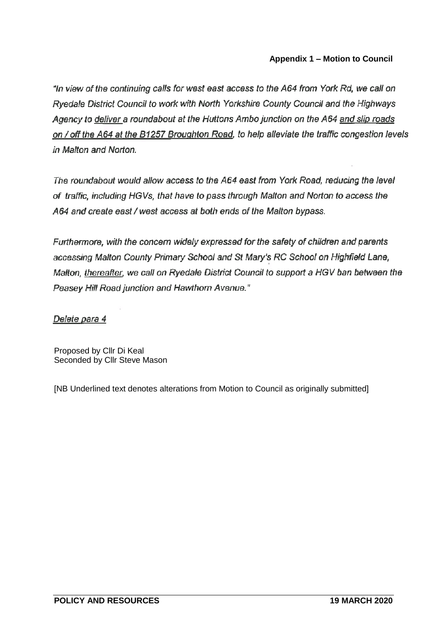# **Appendix 1 – Motion to Council**

"In view of the continuing calls for west east access to the A64 from York Rd, we call on Ryedale District Council to work with North Yorkshire County Council and the Highways Agency to deliver a roundabout at the Huttons Ambo junction on the A64 and slip roads on / off the A64 at the B1257 Broughton Road, to help alleviate the traffic congestion levels in Malton and Norton.

The roundabout would allow access to the A64 east from York Road, reducing the level of traffic, including HGVs, that have to pass through Malton and Norton to access the A64 and create east / west access at both ends of the Malton bypass.

Furthermore, with the concern widely expressed for the safety of children and parents accessing Malton County Primary School and St Mary's RC School on Highfield Lane, Malton, thereafter, we call on Ryedale District Council to support a HGV ban between the Peasey Hill Road junction and Hawthorn Avenue."

Delete para 4

Proposed by Cllr Di Keal Seconded by Cllr Steve Mason

[NB Underlined text denotes alterations from Motion to Council as originally submitted]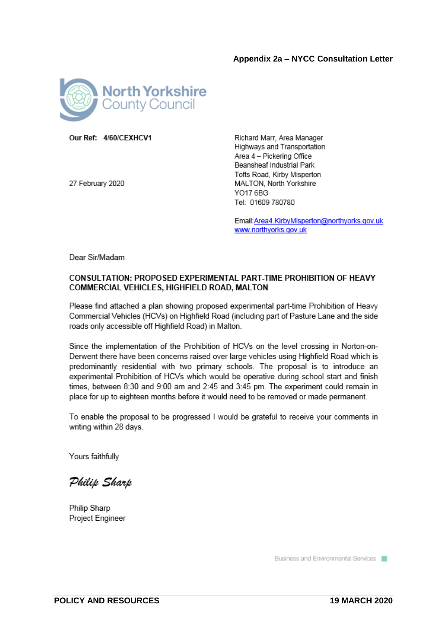

Our Ref: 4/60/CFXHCV1

27 February 2020

Richard Marr, Area Manager Highways and Transportation Area 4 - Pickering Office Beansheaf Industrial Park Tofts Road, Kirby Misperton MALTON, North Yorkshire YO17 6BG Tel: 01609 780780

Email: Area4. KirbyMisperton@northyorks.gov.uk www.northyorks.gov.uk

Dear Sir/Madam

### **CONSULTATION: PROPOSED EXPERIMENTAL PART-TIME PROHIBITION OF HEAVY** COMMERCIAL VEHICLES, HIGHFIELD ROAD, MALTON

Please find attached a plan showing proposed experimental part-time Prohibition of Heavy Commercial Vehicles (HCVs) on Highfield Road (including part of Pasture Lane and the side roads only accessible off Highfield Road) in Malton.

Since the implementation of the Prohibition of HCVs on the level crossing in Norton-on-Derwent there have been concerns raised over large vehicles using Highfield Road which is predominantly residential with two primary schools. The proposal is to introduce an experimental Prohibition of HCVs which would be operative during school start and finish times, between 8:30 and 9:00 am and 2:45 and 3:45 pm. The experiment could remain in place for up to eighteen months before it would need to be removed or made permanent.

To enable the proposal to be progressed I would be grateful to receive your comments in writing within 28 days.

Yours faithfully

Philip Sharp

Philip Sharp Project Engineer

Business and Environmental Services